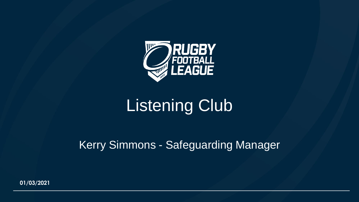

## Listening Club

#### Kerry Simmons - Safeguarding Manager

**01/03/2021**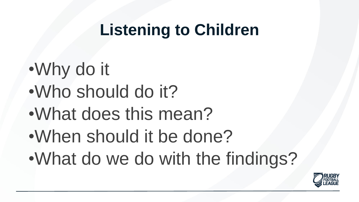## **Listening to Children**

- •Why do it
- •Who should do it?
- •What does this mean?
- •When should it be done?
- •What do we do with the findings?

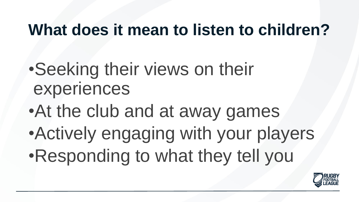## **What does it mean to listen to children?**

- •Seeking their views on their experiences
- •At the club and at away games
- •Actively engaging with your players •Responding to what they tell you

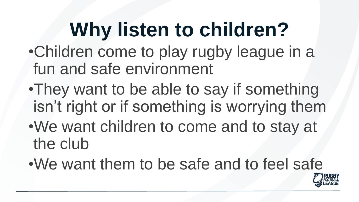## **Why listen to children?**

- •Children come to play rugby league in a fun and safe environment
- •They want to be able to say if something isn't right or if something is worrying them
- •We want children to come and to stay at the club
- •We want them to be safe and to feel safe

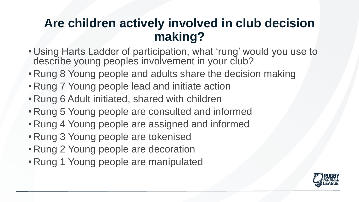#### **Are children actively involved in club decision making?**

- Using Harts Ladder of participation, what 'rung' would you use to describe young peoples involvement in your club?
- Rung 8 Young people and adults share the decision making
- Rung 7 Young people lead and initiate action
- Rung 6 Adult initiated, shared with children
- Rung 5 Young people are consulted and informed
- Rung 4 Young people are assigned and informed
- Rung 3 Young people are tokenised
- Rung 2 Young people are decoration
- Rung 1 Young people are manipulated

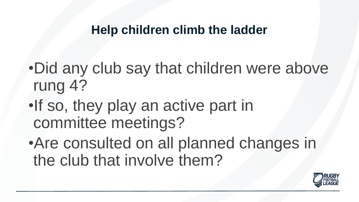#### **Help children climb the ladder**

- •Did any club say that children were above rung 4?
- •If so, they play an active part in committee meetings?
- •Are consulted on all planned changes in the club that involve them?

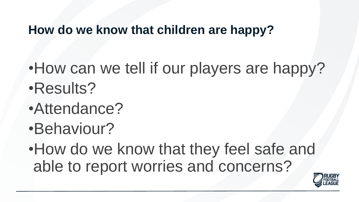#### **How do we know that children are happy?**

- •How can we tell if our players are happy? •Results?
- •Attendance?
- •Behaviour?
- •How do we know that they feel safe and able to report worries and concerns?

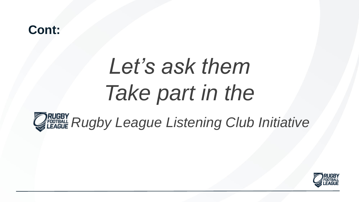# *Let's ask them Take part in the*



*QRUGBY Rugby League Listening Club Initiative* 

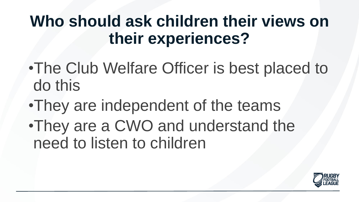## **Who should ask children their views on their experiences?**

- •The Club Welfare Officer is best placed to do this
- •They are independent of the teams
- •They are a CWO and understand the need to listen to children

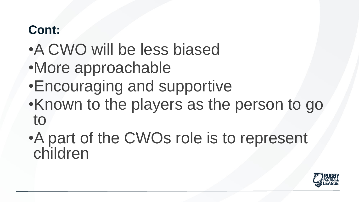- •A CWO will be less biased
- •More approachable
- •Encouraging and supportive
- •Known to the players as the person to go to
- •A part of the CWOs role is to represent children

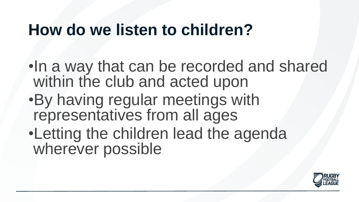## **How do we listen to children?**

- •In a way that can be recorded and shared within the club and acted upon
- •By having regular meetings with representatives from all ages
- •Letting the children lead the agenda wherever possible

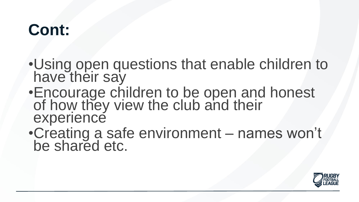- •Using open questions that enable children to have their say
- •Encourage children to be open and honest of how they view the club and their experience
- •Creating a safe environment names won't be shared etc.

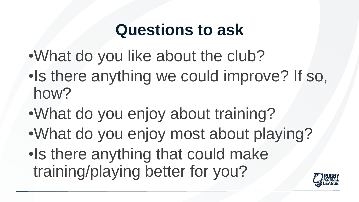## **Questions to ask**

- •What do you like about the club?
- •Is there anything we could improve? If so, how?
- •What do you enjoy about training?
- •What do you enjoy most about playing?
- •Is there anything that could make training/playing better for you?

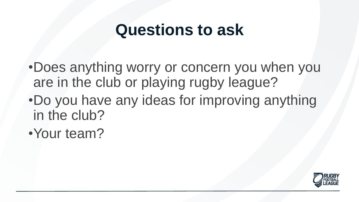## **Questions to ask**

•Does anything worry or concern you when you are in the club or playing rugby league?

- •Do you have any ideas for improving anything in the club?
- •Your team?

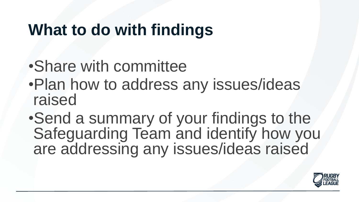## **What to do with findings**

- •Share with committee
- •Plan how to address any issues/ideas raised
- •Send a summary of your findings to the Safeguarding Team and identify how you are addressing any issues/ideas raised

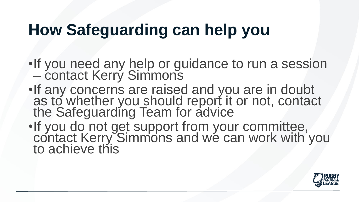## **How Safeguarding can help you**

- •If you need any help or guidance to run a session – contact Kerry Simmons
- •If any concerns are raised and you are in doubt as to whether you should report it or not, contact the Safeguarding Team for advice
- •If you do not get support from your committee, contact Kerry Simmons and we can work with you to achieve this

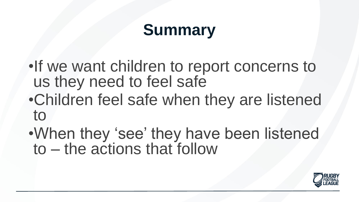## **Summary**

•If we want children to report concerns to us they need to feel safe

- •Children feel safe when they are listened to
- •When they 'see' they have been listened to – the actions that follow

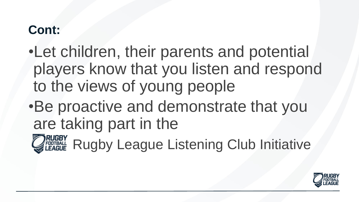- •Let children, their parents and potential players know that you listen and respond to the views of young people
- •Be proactive and demonstrate that you are taking part in the



**JRUGBY** Rugby League Listening Club Initiative